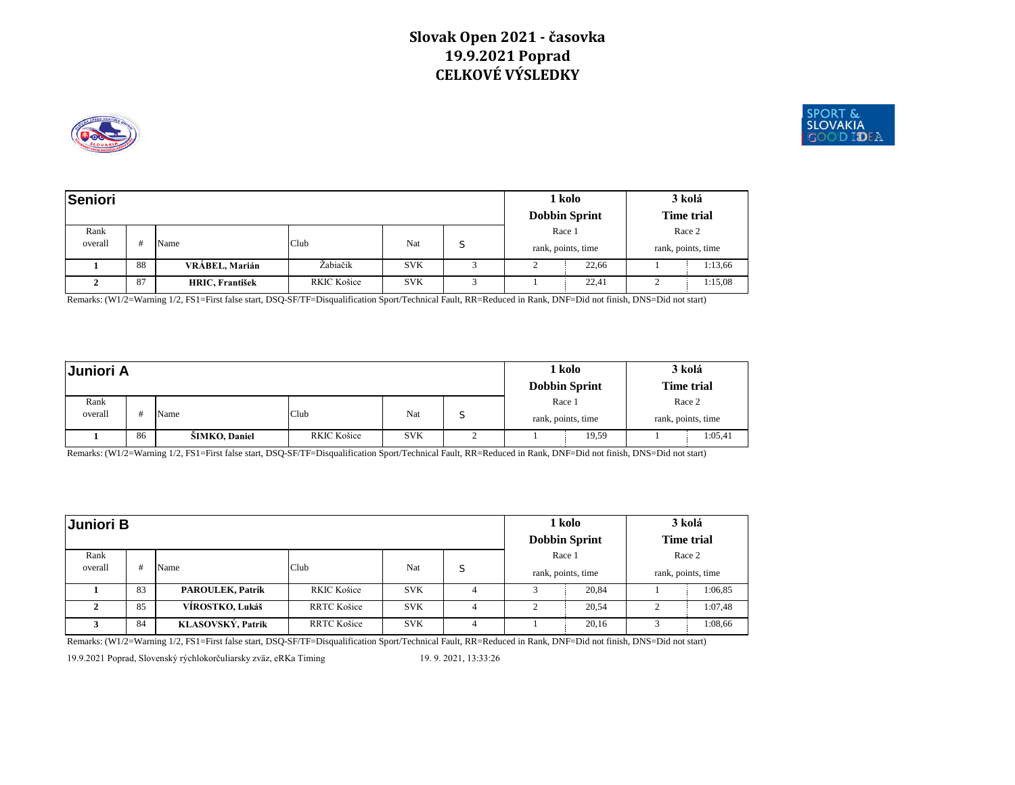



| Seniori |    |                       |             |            |              |                    |                      | 3 kolá |                    |
|---------|----|-----------------------|-------------|------------|--------------|--------------------|----------------------|--------|--------------------|
|         |    |                       |             |            |              |                    | <b>Dobbin Sprint</b> |        | <b>Time trial</b>  |
| Rank    |    |                       |             |            |              | Race 1             |                      |        | Race 2             |
| overall | #  | Name                  | Club        | Nat        | $\sim$<br>ч. | rank, points, time |                      |        | rank, points, time |
|         | 88 | <b>VRÁBEL, Marián</b> | Žabiačik    | <b>SVK</b> |              |                    | 22,66                |        | 1:13,66            |
|         | 87 | HRIC, František       | RKIC Košice | <b>SVK</b> |              |                    | 22,41                | ◠      | 1:15,08            |

Remarks: (W1/2=Warning 1/2, FS1=First false start, DSQ-SF/TF=Disqualification Sport/Technical Fault, RR=Reduced in Rank, DNF=Did not finish, DNS=Did not start)

| Juniori A |    |                       |             |            |   |        |                      | 3 kolá     |                    |
|-----------|----|-----------------------|-------------|------------|---|--------|----------------------|------------|--------------------|
|           |    |                       |             |            |   |        | <b>Dobbin Sprint</b> | Time trial |                    |
| Rank      |    |                       |             |            |   | Race 1 |                      |            | Race 2             |
| overall   | #  | Name                  | Club        | Nat        | ت |        | rank, points, time   |            | rank, points, time |
|           | 86 | <b>SIMKO</b> , Daniel | RKIC Košice | <b>SVK</b> | ↵ |        | 19,59                |            | 1:05.41            |

Remarks: (W1/2=Warning 1/2, FS1=First false start, DSQ-SF/TF=Disqualification Sport/Technical Fault, RR=Reduced in Rank, DNF=Did not finish, DNS=Did not start)

|         | Juniori B |                         |                    |            |  |                    |                      | 3 kolá             |         |
|---------|-----------|-------------------------|--------------------|------------|--|--------------------|----------------------|--------------------|---------|
|         |           |                         |                    |            |  |                    | <b>Dobbin Sprint</b> | <b>Time trial</b>  |         |
| Rank    |           |                         |                    |            |  | Race 1             |                      |                    | Race 2  |
| overall | #         | Name                    | Club               | Nat        |  | rank, points, time |                      | rank, points, time |         |
|         | 83        | <b>PAROULEK, Patrik</b> | RKIC Košice        | <b>SVK</b> |  |                    | 20.84                |                    | 1:06,85 |
|         | 85        | VÍROSTKO, Lukáš         | <b>RRTC Košice</b> | <b>SVK</b> |  |                    | 20,54                |                    | 1:07,48 |
|         | 84        | KLASOVSKÝ, Patrik       | <b>RRTC Košice</b> | <b>SVK</b> |  |                    | 20,16                |                    | 1:08,66 |

Remarks: (W1/2=Warning 1/2, FS1=First false start, DSQ-SF/TF=Disqualification Sport/Technical Fault, RR=Reduced in Rank, DNF=Did not finish, DNS=Did not start)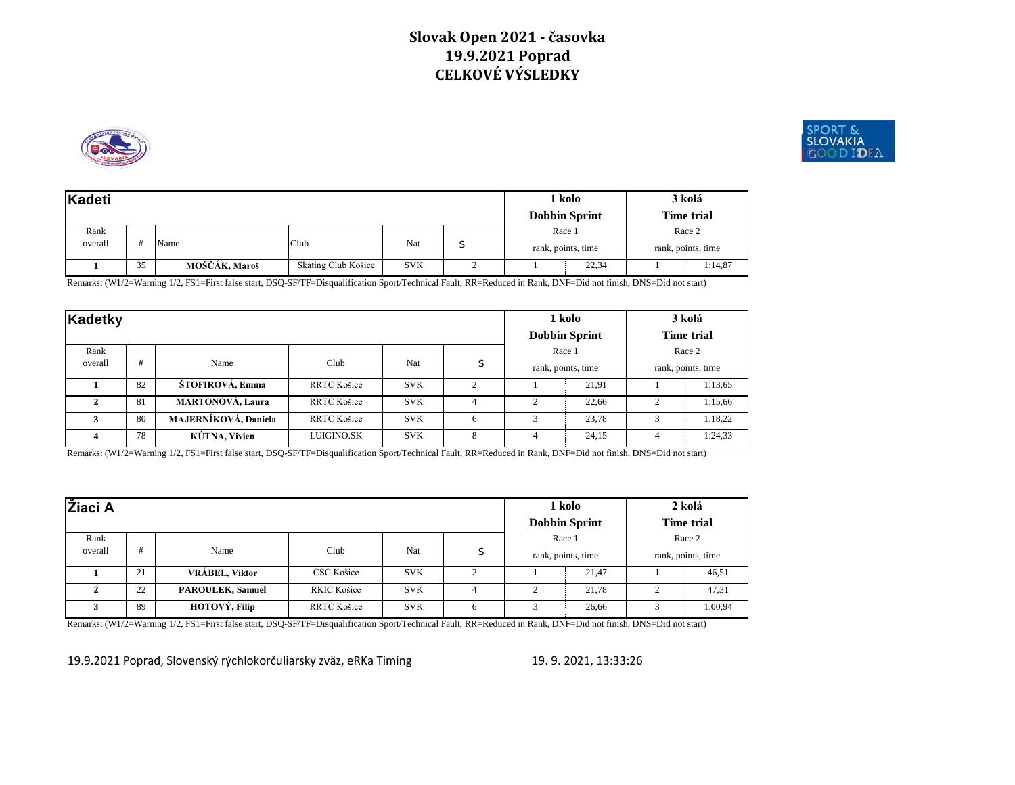



| Kadeti  |    |               |                     |            |             |                      | 3 kolá             |  |
|---------|----|---------------|---------------------|------------|-------------|----------------------|--------------------|--|
|         |    |               |                     |            |             | <b>Dobbin Sprint</b> | <b>Time trial</b>  |  |
| Rank    |    |               |                     |            |             | Race 1               | Race 2             |  |
| overall | #  | Name          | Club                | Nat        | -<br>$\sim$ | rank, points, time   | rank, points, time |  |
|         | 35 | MOŠČÁK, Maroš | Skating Club Košice | <b>SVK</b> |             | 22,34                | 1:14,87            |  |

Remarks: (W1/2=Warning 1/2, FS1=First false start, DSQ-SF/TF=Disqualification Sport/Technical Fault, RR=Reduced in Rank, DNF=Did not finish, DNS=Did not start)

| Kadetky |    |                         |             |            |            |        |                      | 3 kolá<br><b>Time trial</b> |                    |
|---------|----|-------------------------|-------------|------------|------------|--------|----------------------|-----------------------------|--------------------|
|         |    |                         |             |            |            |        | <b>Dobbin Sprint</b> |                             |                    |
| Rank    |    |                         |             |            |            | Race 1 |                      |                             | Race 2             |
| overall | #  | Name                    | Club        | Nat        | S          |        | rank, points, time   |                             | rank, points, time |
|         | 82 | ŠTOFIROVÁ, Emma         | RRTC Košice | <b>SVK</b> | $\bigcirc$ |        | 21,91                |                             | 1:13,65            |
|         | 81 | <b>MARTONOVÁ, Laura</b> | RRTC Košice | <b>SVK</b> |            | 2      | 22.66                | 2                           | 1:15.66            |
|         | 80 | MAJERNÍKOVÁ, Daniela    | RRTC Košice | <b>SVK</b> | 6          | 3      | 23.78                |                             | 1:18.22            |
| 4       | 78 | KÚTNA, Vivien           | LUIGINO.SK  | <b>SVK</b> | 8          | 4      | 24.15                | 4                           | 1:24,33            |

Remarks: (W1/2=Warning 1/2, FS1=First false start, DSQ-SF/TF=Disqualification Sport/Technical Fault, RR=Reduced in Rank, DNF=Did not finish, DNS=Did not start)

| Žiaci A |    |                         |                    |            |   |        |                      | 2 kolá |                    |
|---------|----|-------------------------|--------------------|------------|---|--------|----------------------|--------|--------------------|
|         |    |                         |                    |            |   |        | <b>Dobbin Sprint</b> |        | <b>Time trial</b>  |
| Rank    |    |                         |                    |            |   | Race 1 |                      |        | Race 2             |
| overall | #  | Name                    | Club               | Nat        | S |        | rank, points, time   |        | rank, points, time |
|         | 21 | VRÁBEL, Viktor          | CSC Košice         | <b>SVK</b> |   |        | 21.47                |        | 46,51              |
|         | 22 | <b>PAROULEK, Samuel</b> | RKIC Košice        | <b>SVK</b> |   |        | 21.78                |        | 47,31              |
|         | 89 | HOTOVÝ, Filip           | <b>RRTC Košice</b> | <b>SVK</b> |   |        | 26,66                |        | 1:00,94            |

Remarks: (W1/2=Warning 1/2, FS1=First false start, DSQ-SF/TF=Disqualification Sport/Technical Fault, RR=Reduced in Rank, DNF=Did not finish, DNS=Did not start)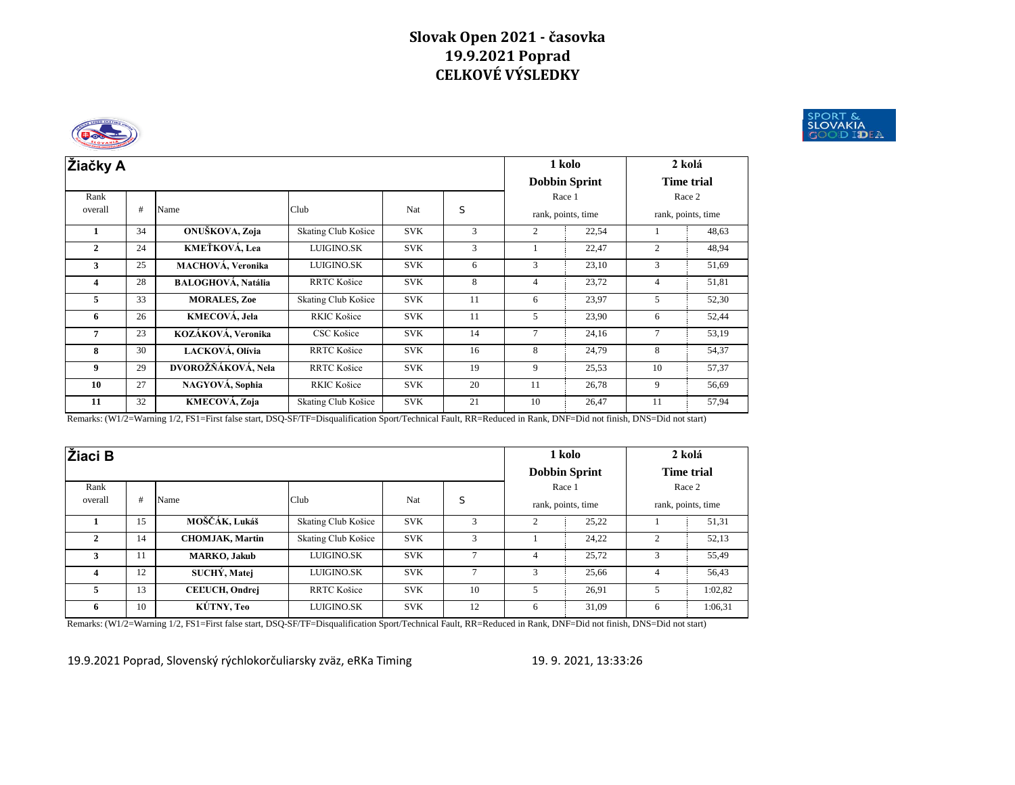



| Žiačky A        |    |                           |                     |            |    |        | 1 kolo               |                   | 2 kolá                       |
|-----------------|----|---------------------------|---------------------|------------|----|--------|----------------------|-------------------|------------------------------|
|                 |    |                           |                     |            |    |        | <b>Dobbin Sprint</b> | <b>Time trial</b> |                              |
| Rank<br>overall | #  | Name                      | Club                | Nat        | S  | Race 1 | rank, points, time   |                   | Race 2<br>rank, points, time |
|                 | 34 | ONUŠKOVA, Zoja            | Skating Club Košice | <b>SVK</b> | 3  | 2      | 22,54                |                   | 48,63                        |
| $\overline{2}$  | 24 | KMEŤKOVÁ, Lea             | LUIGINO.SK          | <b>SVK</b> | 3  |        | 22,47                | 2                 | 48,94                        |
| 3               | 25 | <b>MACHOVÁ</b> , Veronika | LUIGINO.SK          | <b>SVK</b> | 6  | 3      | 23,10                | 3                 | 51,69                        |
| 4               | 28 | <b>BALOGHOVÁ, Natália</b> | <b>RRTC Košice</b>  | <b>SVK</b> | 8  | 4      | 23,72                | $\overline{4}$    | 51,81                        |
| 5               | 33 | <b>MORALES, Zoe</b>       | Skating Club Košice | <b>SVK</b> | 11 | 6      | 23,97                | 5                 | 52,30                        |
| 6               | 26 | <b>KMECOVÁ</b> , Jela     | RKIC Košice         | <b>SVK</b> | 11 | 5      | 23,90                | 6                 | 52,44                        |
| 7               | 23 | KOZÁKOVÁ, Veronika        | CSC Košice          | <b>SVK</b> | 14 | $\tau$ | 24,16                | $\tau$            | 53,19                        |
| 8               | 30 | LACKOVÁ, Olívia           | RRTC Košice         | <b>SVK</b> | 16 | 8      | 24,79                | 8                 | 54,37                        |
| 9               | 29 | DVOROŽŇÁKOVÁ, Nela        | <b>RRTC Košice</b>  | <b>SVK</b> | 19 | 9      | 25,53                | 10                | 57,37                        |
| 10              | 27 | NAGYOVÁ, Sophia           | RKIC Košice         | <b>SVK</b> | 20 | 11     | 26,78                | 9                 | 56,69                        |
| 11              | 32 | KMECOVÁ, Zoja             | Skating Club Košice | <b>SVK</b> | 21 | 10     | 26,47                | 11                | 57,94                        |

Remarks: (W1/2=Warning 1/2, FS1=First false start, DSQ-SF/TF=Disqualification Sport/Technical Fault, RR=Reduced in Rank, DNF=Did not finish, DNS=Did not start)

| Žiaci B         |    |                        |                     |            |    | 1 kolo |                      | 2 kolá            |                              |
|-----------------|----|------------------------|---------------------|------------|----|--------|----------------------|-------------------|------------------------------|
|                 |    |                        |                     |            |    |        | <b>Dobbin Sprint</b> | <b>Time trial</b> |                              |
| Rank<br>overall | #  | Name                   | Club                | Nat        | S  | Race 1 | rank, points, time   |                   | Race 2<br>rank, points, time |
|                 | 15 | MOŠČÁK, Lukáš          | Skating Club Košice | <b>SVK</b> |    |        | 25,22                |                   | 51,31                        |
| $\mathbf{2}$    | 14 | <b>CHOMJAK, Martin</b> | Skating Club Košice | <b>SVK</b> | 3  |        | 24,22                | $\overline{c}$    | 52,13                        |
| 3               | 11 | <b>MARKO</b> , Jakub   | LUIGINO.SK          | <b>SVK</b> | 7  | 4      | 25,72                | 3                 | 55,49                        |
| 4               | 12 | SUCHÝ, Matej           | LUIGINO.SK          | <b>SVK</b> |    | 3      | 25,66                | 4                 | 56,43                        |
| 5               | 13 | <b>CELUCH, Ondrej</b>  | <b>RRTC Košice</b>  | <b>SVK</b> | 10 | 5      | 26,91                | 5                 | 1:02,82                      |
| 6               | 10 | KÚTNY, Teo             | LUIGINO.SK          | <b>SVK</b> | 12 | 6      | 31,09                | 6                 | 1:06,31                      |

Remarks: (W1/2=Warning 1/2, FS1=First false start, DSQ-SF/TF=Disqualification Sport/Technical Fault, RR=Reduced in Rank, DNF=Did not finish, DNS=Did not start)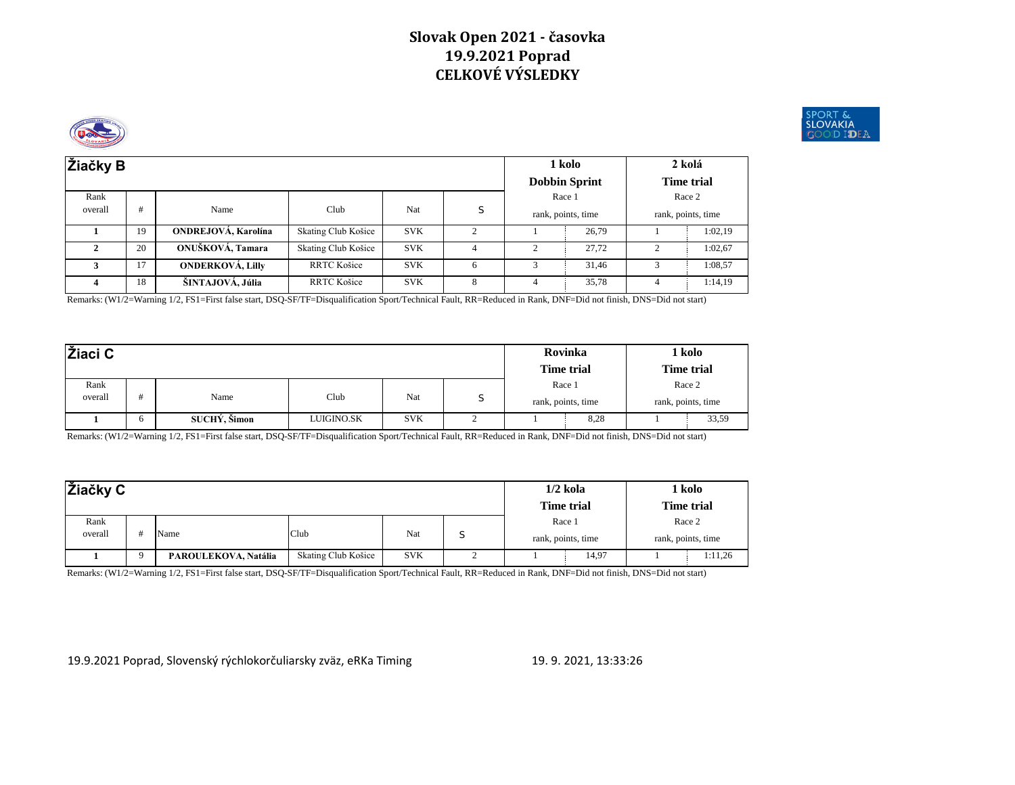



| Žiačky B        |    |                         |                     |            |   |        |                    | 2 kolá<br><b>Time trial</b> |                              |
|-----------------|----|-------------------------|---------------------|------------|---|--------|--------------------|-----------------------------|------------------------------|
| Rank<br>overall | #  | Name                    | Club                | Nat        | S | Race 1 | rank, points, time |                             | Race 2<br>rank, points, time |
|                 | 19 | ONDREJOVÁ, Karolína     | Skating Club Košice | <b>SVK</b> |   |        | 26.79              |                             | 1:02,19                      |
| 2               | 20 | ONUŠKOVÁ, Tamara        | Skating Club Košice | <b>SVK</b> | 4 | 2      | 27.72              |                             | 1:02.67                      |
|                 | 17 | <b>ONDERKOVÁ, Lilly</b> | RRTC Košice         | <b>SVK</b> | 6 | 3      | 31.46              | 3                           | 1:08,57                      |
|                 | 18 | ŠINTAJOVÁ, Júlia        | RRTC Košice         | <b>SVK</b> | 8 | 4      | 35,78              |                             | 1:14.19                      |

Remarks: (W1/2=Warning 1/2, FS1=First false start, DSQ-SF/TF=Disqualification Sport/Technical Fault, RR=Reduced in Rank, DNF=Did not finish, DNS=Did not start)

| Žiaci C |              |              |            |            |             |        |                    | 1 kolo            |                    |
|---------|--------------|--------------|------------|------------|-------------|--------|--------------------|-------------------|--------------------|
|         |              |              |            |            |             |        | <b>Time trial</b>  | <b>Time trial</b> |                    |
| Rank    |              |              |            |            |             | Race 1 |                    |                   | Race 2             |
| overall | #            | Name         | Club       | Nat        | S           |        | rank, points, time |                   | rank, points, time |
|         | <sub>0</sub> | SUCHÝ, Šimon | LUIGINO.SK | <b>SVK</b> | $\sim$<br>∠ |        | 8,28               |                   | 33,59              |

Remarks: (W1/2=Warning 1/2, FS1=First false start, DSQ-SF/TF=Disqualification Sport/Technical Fault, RR=Reduced in Rank, DNF=Did not finish, DNS=Did not start)

| Žiačky C |          |                      |                     |            |  |        | $1/2$ kola         | 1 kolo            |                    |
|----------|----------|----------------------|---------------------|------------|--|--------|--------------------|-------------------|--------------------|
|          |          |                      |                     |            |  |        | <b>Time trial</b>  | <b>Time trial</b> |                    |
| Rank     |          |                      |                     |            |  | Race 1 |                    |                   | Race 2             |
| overall  |          | Name                 | Club                | Nat        |  |        | rank, points, time |                   | rank, points, time |
|          | $\Omega$ | PAROULEKOVA, Natália | Skating Club Košice | <b>SVK</b> |  |        | 14,97              |                   | 1:11,26            |

Remarks: (W1/2=Warning 1/2, FS1=First false start, DSQ-SF/TF=Disqualification Sport/Technical Fault, RR=Reduced in Rank, DNF=Did not finish, DNS=Did not start)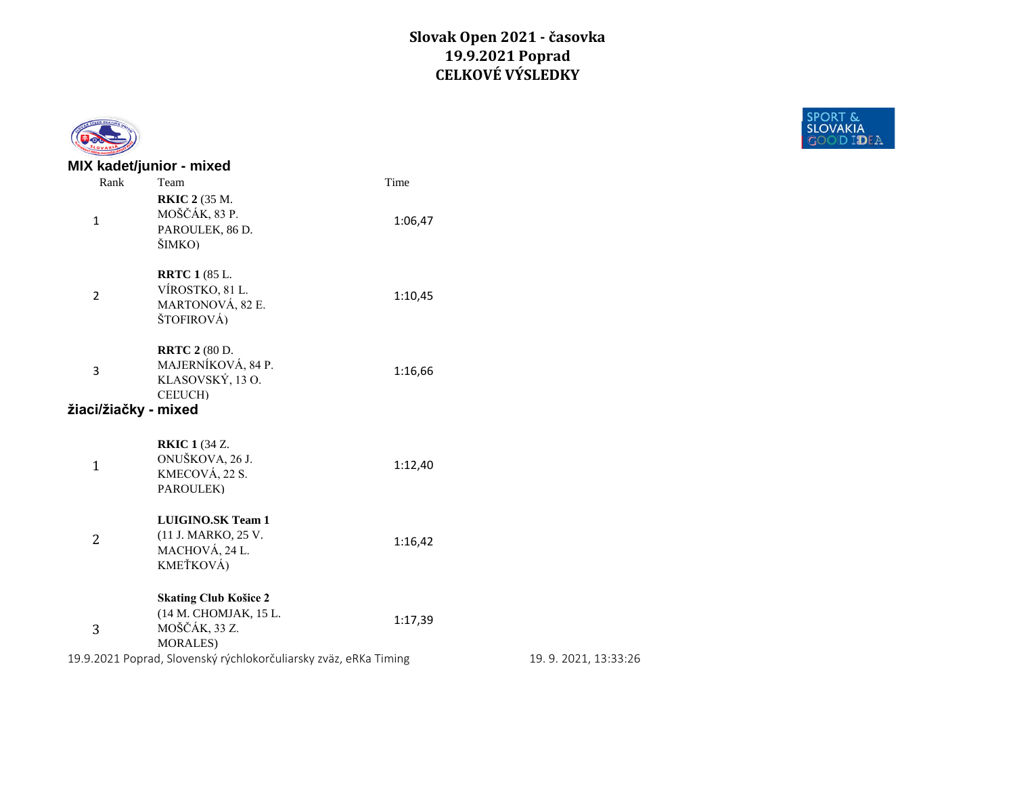

|                      | MIX kadet/junior - mixed                                                           |         |                     |
|----------------------|------------------------------------------------------------------------------------|---------|---------------------|
| Rank                 | Team                                                                               | Time    |                     |
| $\mathbf{1}$         | <b>RKIC 2</b> (35 M.<br>MOŠČÁK, 83 P.<br>PAROULEK, 86 D.<br>ŠIMKO)                 | 1:06,47 |                     |
| $\overline{2}$       | <b>RRTC 1 (85 L.</b><br>VÍROSTKO, 81 L.<br>MARTONOVÁ, 82 E.<br>ŠTOFIROVÁ)          | 1:10,45 |                     |
| 3                    | <b>RRTC 2 (80 D.</b><br>MAJERNÍKOVÁ, 84 P.<br>KLASOVSKÝ, 13 O.<br><b>CELUCH)</b>   | 1:16,66 |                     |
| žiaci/žiačky - mixed |                                                                                    |         |                     |
| $\mathbf{1}$         | <b>RKIC 1 (34 Z.</b><br>ONUŠKOVA, 26 J.<br>KMECOVÁ, 22 S.<br>PAROULEK)             | 1:12,40 |                     |
| $\overline{2}$       | <b>LUIGINO.SK Team 1</b><br>(11 J. MARKO, 25 V.<br>MACHOVÁ, 24 L.<br>KMEŤKOVÁ)     | 1:16,42 |                     |
| 3                    | <b>Skating Club Košice 2</b><br>(14 M. CHOMJAK, 15 L.<br>MOŠČÁK, 33 Z.<br>MORALES) | 1:17,39 |                     |
|                      | 19.9.2021 Poprad, Slovenský rýchlokorčuliarsky zväz, eRKa Timing                   |         | 19.9.2021, 13:33:26 |